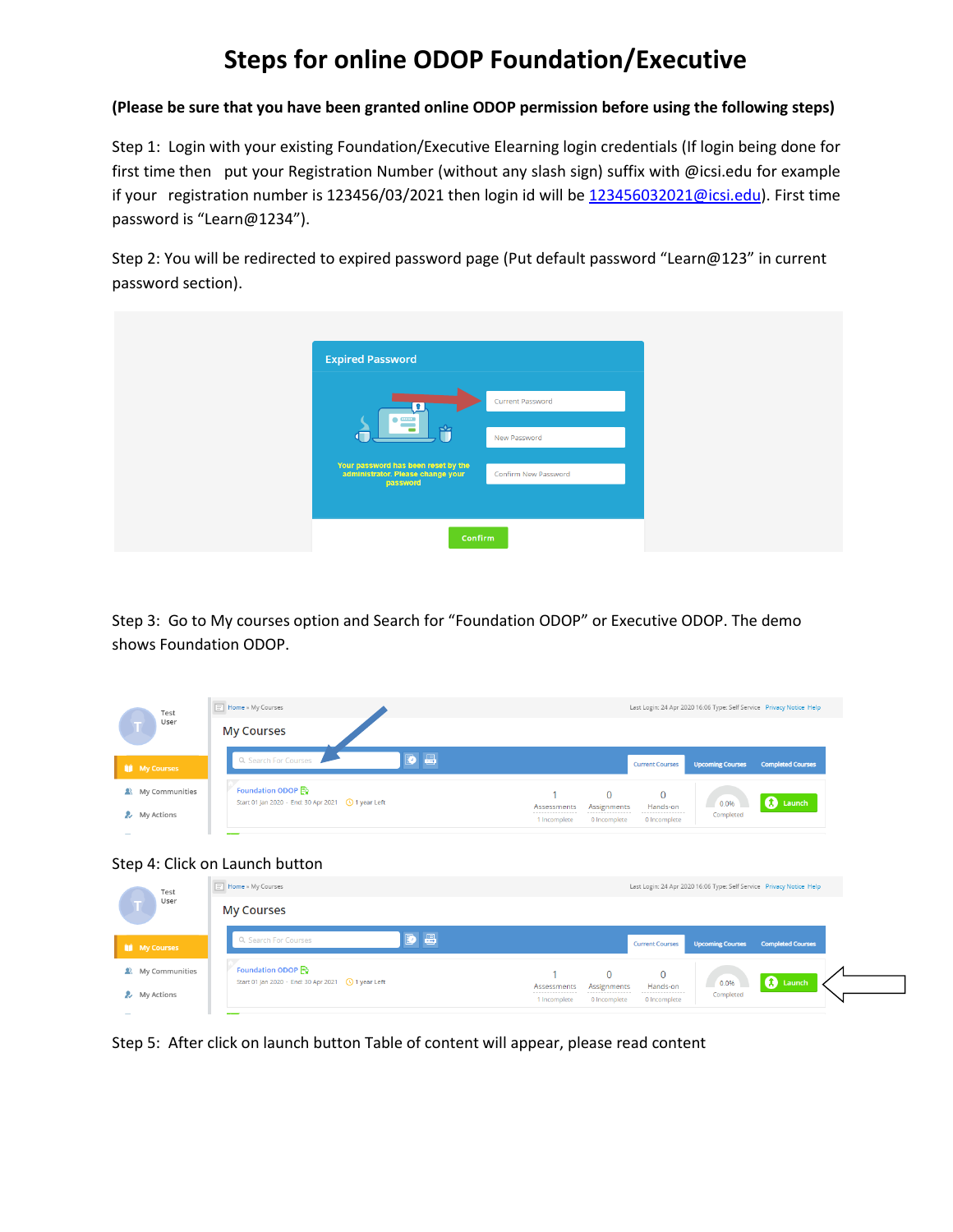## **Steps for online ODOP Foundation/Executive**

## **(Please be sure that you have been granted online ODOP permission before using the following steps)**

Step 1: Login with your existing Foundation/Executive Elearning login credentials (If login being done for first time then put your Registration Number (without any slash sign) suffix with @icsi.edu for example if your registration number is 123456/03/2021 then login id will b[e 123456032021@icsi.edu\)](mailto:123456032021@icsi.edu). First time password is "Learn@1234").

Step 2: You will be redirected to expired password page (Put default password "Learn@123" in current password section).



Step 3: Go to My courses option and Search for "Foundation ODOP" or Executive ODOP. The demo shows Foundation ODOP.

| Test<br>User        | $\boxed{\equiv}$ Home » My Courses                                       | Last Login: 24 Apr 2020 16:06 Type: Self Service Privacy Notice Help                                                           |
|---------------------|--------------------------------------------------------------------------|--------------------------------------------------------------------------------------------------------------------------------|
|                     | <b>My Courses</b>                                                        |                                                                                                                                |
| <b>I</b> My Courses | DB<br>Q. Search For Courses                                              | <b>Completed Courses</b><br><b>Upcoming Courses</b><br><b>Current Courses</b>                                                  |
| & My Communities    | Foundation ODOP<br>Start 01 Jan 2020 - End: 30 Apr 2021 (19) 1 year Left | $\Omega$<br>$\mathbf{0}$<br><b>O</b> Launch<br>0.0%<br>Hands-on<br>Assessments<br>Assignments<br>------------                  |
| & My Actions        |                                                                          | Completed<br>1 Incomplete<br>0 Incomplete<br>0 Incomplete                                                                      |
|                     | Step 4: Click on Launch button                                           |                                                                                                                                |
| Test<br>User        | $\boxed{\equiv}$ Home » My Courses                                       | Last Login: 24 Apr 2020 16:06 Type: Self Service Privacy Notice Help                                                           |
|                     | <b>My Courses</b>                                                        |                                                                                                                                |
| <b>My Courses</b>   | DB<br>Q. Search For Courses                                              | <b>Completed Courses</b><br><b>Upcoming Courses</b><br><b>Current Courses</b>                                                  |
| 2 My Communities    | Foundation ODOP                                                          | $\Omega$<br>$\mathbf 0$<br><b>Q</b> Launch<br>$0.0\%$                                                                          |
| <b>A</b> My Actions |                                                                          | Assignments<br>Hands-on<br>Assessments<br>--------------<br>-----<br>Completed<br>1 Incomplete<br>0 Incomplete<br>0 Incomplete |

Step 5: After click on launch button Table of content will appear, please read content